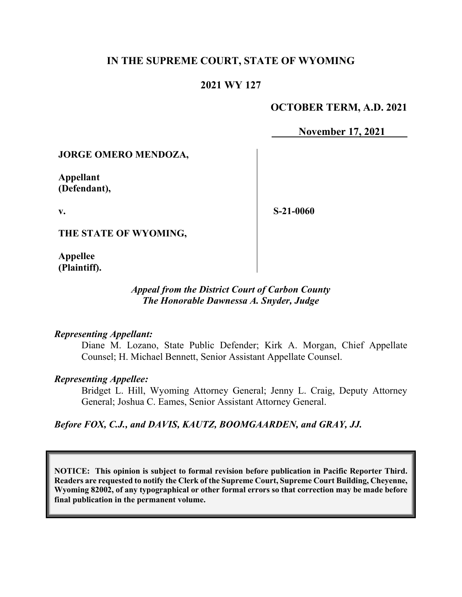## **IN THE SUPREME COURT, STATE OF WYOMING**

## **2021 WY 127**

## **OCTOBER TERM, A.D. 2021**

**November 17, 2021**

#### **JORGE OMERO MENDOZA,**

**Appellant (Defendant),**

**v.**

**S-21-0060**

**THE STATE OF WYOMING,**

**Appellee (Plaintiff).**

## *Appeal from the District Court of Carbon County The Honorable Dawnessa A. Snyder, Judge*

#### *Representing Appellant:*

Diane M. Lozano, State Public Defender; Kirk A. Morgan, Chief Appellate Counsel; H. Michael Bennett, Senior Assistant Appellate Counsel.

#### *Representing Appellee:*

Bridget L. Hill, Wyoming Attorney General; Jenny L. Craig, Deputy Attorney General; Joshua C. Eames, Senior Assistant Attorney General.

#### *Before FOX, C.J., and DAVIS, KAUTZ, BOOMGAARDEN, and GRAY, JJ.*

**NOTICE: This opinion is subject to formal revision before publication in Pacific Reporter Third. Readers are requested to notify the Clerk of the Supreme Court, Supreme Court Building, Cheyenne, Wyoming 82002, of any typographical or other formal errors so that correction may be made before final publication in the permanent volume.**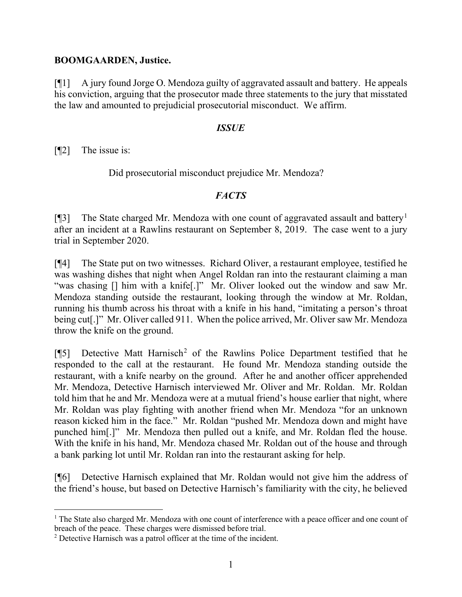## **BOOMGAARDEN, Justice.**

[¶1] A jury found Jorge O. Mendoza guilty of aggravated assault and battery. He appeals his conviction, arguing that the prosecutor made three statements to the jury that misstated the law and amounted to prejudicial prosecutorial misconduct. We affirm.

## *ISSUE*

[¶2] The issue is:

Did prosecutorial misconduct prejudice Mr. Mendoza?

## *FACTS*

[¶3] The State charged Mr. Mendoza with one count of aggravated assault and battery<sup>[1](#page-1-0)</sup> after an incident at a Rawlins restaurant on September 8, 2019. The case went to a jury trial in September 2020.

[¶4] The State put on two witnesses. Richard Oliver, a restaurant employee, testified he was washing dishes that night when Angel Roldan ran into the restaurant claiming a man "was chasing [] him with a knife<sup>[.]"</sup> Mr. Oliver looked out the window and saw Mr. Mendoza standing outside the restaurant, looking through the window at Mr. Roldan, running his thumb across his throat with a knife in his hand, "imitating a person's throat being cut<sup>[1]</sup>" Mr. Oliver called 911. When the police arrived, Mr. Oliver saw Mr. Mendoza throw the knife on the ground.

[ $[$ [5] Detective Matt Harnisch<sup>[2](#page-1-1)</sup> of the Rawlins Police Department testified that he responded to the call at the restaurant. He found Mr. Mendoza standing outside the restaurant, with a knife nearby on the ground. After he and another officer apprehended Mr. Mendoza, Detective Harnisch interviewed Mr. Oliver and Mr. Roldan. Mr. Roldan told him that he and Mr. Mendoza were at a mutual friend's house earlier that night, where Mr. Roldan was play fighting with another friend when Mr. Mendoza "for an unknown reason kicked him in the face." Mr. Roldan "pushed Mr. Mendoza down and might have punched him[.]" Mr. Mendoza then pulled out a knife, and Mr. Roldan fled the house. With the knife in his hand, Mr. Mendoza chased Mr. Roldan out of the house and through a bank parking lot until Mr. Roldan ran into the restaurant asking for help.

[¶6] Detective Harnisch explained that Mr. Roldan would not give him the address of the friend's house, but based on Detective Harnisch's familiarity with the city, he believed

<span id="page-1-0"></span><sup>&</sup>lt;sup>1</sup> The State also charged Mr. Mendoza with one count of interference with a peace officer and one count of breach of the peace. These charges were dismissed before trial.

<span id="page-1-1"></span><sup>&</sup>lt;sup>2</sup> Detective Harnisch was a patrol officer at the time of the incident.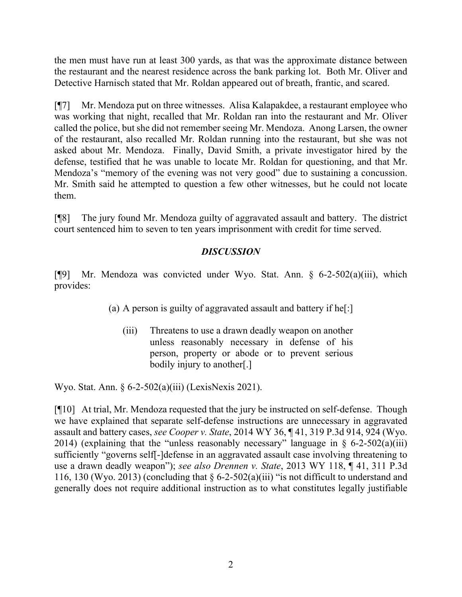the men must have run at least 300 yards, as that was the approximate distance between the restaurant and the nearest residence across the bank parking lot. Both Mr. Oliver and Detective Harnisch stated that Mr. Roldan appeared out of breath, frantic, and scared.

[¶7] Mr. Mendoza put on three witnesses. Alisa Kalapakdee, a restaurant employee who was working that night, recalled that Mr. Roldan ran into the restaurant and Mr. Oliver called the police, but she did not remember seeing Mr. Mendoza. Anong Larsen, the owner of the restaurant, also recalled Mr. Roldan running into the restaurant, but she was not asked about Mr. Mendoza. Finally, David Smith, a private investigator hired by the defense, testified that he was unable to locate Mr. Roldan for questioning, and that Mr. Mendoza's "memory of the evening was not very good" due to sustaining a concussion. Mr. Smith said he attempted to question a few other witnesses, but he could not locate them.

[¶8] The jury found Mr. Mendoza guilty of aggravated assault and battery. The district court sentenced him to seven to ten years imprisonment with credit for time served.

# *DISCUSSION*

[¶9] Mr. Mendoza was convicted under Wyo. Stat. Ann. § 6-2-502(a)(iii), which provides:

(a) A person is guilty of aggravated assault and battery if he[:]

(iii) Threatens to use a drawn deadly weapon on another unless reasonably necessary in defense of his person, property or abode or to prevent serious bodily injury to another[.]

Wyo. Stat. Ann. § 6-2-502(a)(iii) (LexisNexis 2021).

[¶10] At trial, Mr. Mendoza requested that the jury be instructed on self-defense. Though we have explained that separate self-defense instructions are unnecessary in aggravated assault and battery cases, *see Cooper v. State*, 2014 WY 36, ¶ 41, 319 P.3d 914, 924 (Wyo. 2014) (explaining that the "unless reasonably necessary" language in  $\S$  6-2-502(a)(iii) sufficiently "governs self[-]defense in an aggravated assault case involving threatening to use a drawn deadly weapon"); *see also Drennen v. State*, 2013 WY 118, ¶ 41, 311 P.3d 116, 130 (Wyo. 2013) (concluding that  $\S 6$ -2-502(a)(iii) "is not difficult to understand and generally does not require additional instruction as to what constitutes legally justifiable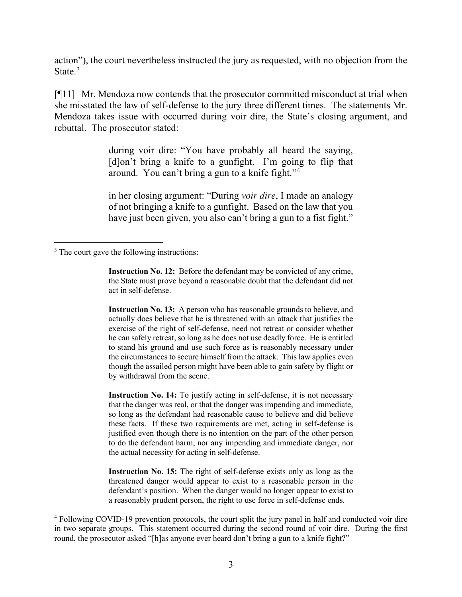action"), the court nevertheless instructed the jury as requested, with no objection from the State.<sup>[3](#page-3-0)</sup>

[¶11] Mr. Mendoza now contends that the prosecutor committed misconduct at trial when she misstated the law of self-defense to the jury three different times. The statements Mr. Mendoza takes issue with occurred during voir dire, the State's closing argument, and rebuttal. The prosecutor stated:

> during voir dire: "You have probably all heard the saying, [d]on't bring a knife to a gunfight. I'm going to flip that around. You can't bring a gun to a knife fight."<sup>[4](#page-3-1)</sup>

> in her closing argument: "During *voir dire*, I made an analogy of not bringing a knife to a gunfight. Based on the law that you have just been given, you also can't bring a gun to a fist fight."

**Instruction No. 13:** A person who has reasonable grounds to believe, and actually does believe that he is threatened with an attack that justifies the exercise of the right of self-defense, need not retreat or consider whether he can safely retreat, so long as he does not use deadly force. He is entitled to stand his ground and use such force as is reasonably necessary under the circumstances to secure himself from the attack. This law applies even though the assailed person might have been able to gain safety by flight or by withdrawal from the scene.

**Instruction No. 14:** To justify acting in self-defense, it is not necessary that the danger was real, or that the danger was impending and immediate, so long as the defendant had reasonable cause to believe and did believe these facts. If these two requirements are met, acting in self-defense is justified even though there is no intention on the part of the other person to do the defendant harm, nor any impending and immediate danger, nor the actual necessity for acting in self-defense.

**Instruction No. 15:** The right of self-defense exists only as long as the threatened danger would appear to exist to a reasonable person in the defendant's position. When the danger would no longer appear to exist to a reasonably prudent person, the right to use force in self-defense ends.

<span id="page-3-0"></span><sup>&</sup>lt;sup>3</sup> The court gave the following instructions:

**Instruction No. 12:** Before the defendant may be convicted of any crime, the State must prove beyond a reasonable doubt that the defendant did not act in self-defense.

<span id="page-3-1"></span><sup>4</sup> Following COVID-19 prevention protocols, the court split the jury panel in half and conducted voir dire in two separate groups. This statement occurred during the second round of voir dire. During the first round, the prosecutor asked "[h]as anyone ever heard don't bring a gun to a knife fight?"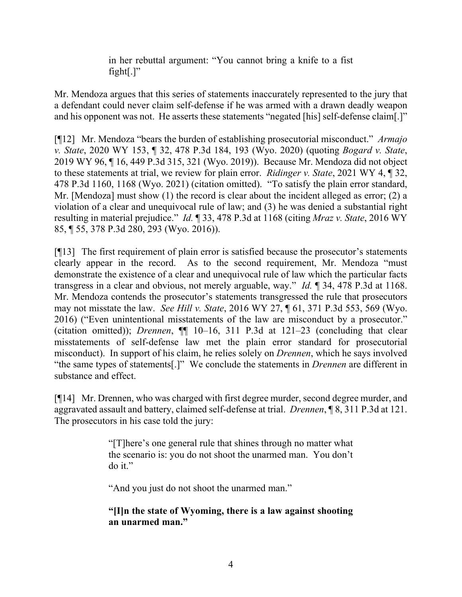in her rebuttal argument: "You cannot bring a knife to a fist fight[ $\cdot$ ]"

Mr. Mendoza argues that this series of statements inaccurately represented to the jury that a defendant could never claim self-defense if he was armed with a drawn deadly weapon and his opponent was not. He asserts these statements "negated [his] self-defense claim[.]"

[¶12] Mr. Mendoza "bears the burden of establishing prosecutorial misconduct." *Armajo v. State*, 2020 WY 153, ¶ 32, 478 P.3d 184, 193 (Wyo. 2020) (quoting *Bogard v. State*, 2019 WY 96, ¶ 16, 449 P.3d 315, 321 (Wyo. 2019)). Because Mr. Mendoza did not object to these statements at trial, we review for plain error. *Ridinger v. State*, 2021 WY 4, ¶ 32, 478 P.3d 1160, 1168 (Wyo. 2021) (citation omitted). "To satisfy the plain error standard, Mr. [Mendoza] must show (1) the record is clear about the incident alleged as error; (2) a violation of a clear and unequivocal rule of law; and (3) he was denied a substantial right resulting in material prejudice." *Id.* ¶ 33, 478 P.3d at 1168 (citing *Mraz v. State*, 2016 WY 85, ¶ 55, 378 P.3d 280, 293 (Wyo. 2016)).

[¶13] The first requirement of plain error is satisfied because the prosecutor's statements clearly appear in the record. As to the second requirement, Mr. Mendoza "must demonstrate the existence of a clear and unequivocal rule of law which the particular facts transgress in a clear and obvious, not merely arguable, way." *Id.* ¶ 34, 478 P.3d at 1168. Mr. Mendoza contends the prosecutor's statements transgressed the rule that prosecutors may not misstate the law. *See Hill v. State*, 2016 WY 27, ¶ 61, 371 P.3d 553, 569 (Wyo. 2016) ("Even unintentional misstatements of the law are misconduct by a prosecutor." (citation omitted)); *Drennen*, ¶¶ 10–16, 311 P.3d at 121–23 (concluding that clear misstatements of self-defense law met the plain error standard for prosecutorial misconduct). In support of his claim, he relies solely on *Drennen*, which he says involved "the same types of statements[.]" We conclude the statements in *Drennen* are different in substance and effect.

[¶14] Mr. Drennen, who was charged with first degree murder, second degree murder, and aggravated assault and battery, claimed self-defense at trial. *Drennen*, ¶ 8, 311 P.3d at 121. The prosecutors in his case told the jury:

> "[T]here's one general rule that shines through no matter what the scenario is: you do not shoot the unarmed man. You don't do it."

"And you just do not shoot the unarmed man."

## **"[I]n the state of Wyoming, there is a law against shooting an unarmed man."**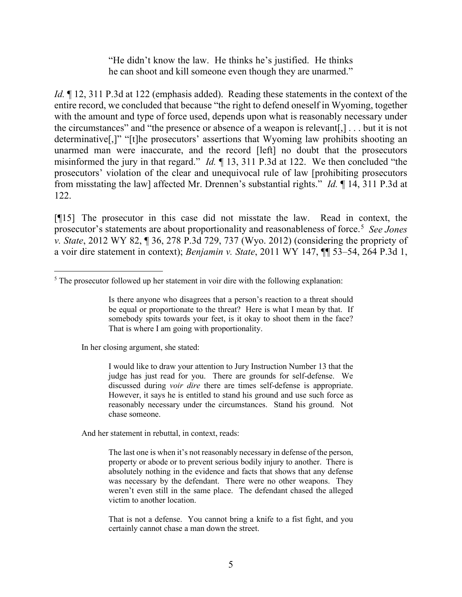"He didn't know the law. He thinks he's justified. He thinks he can shoot and kill someone even though they are unarmed."

*Id.*  $\llbracket$  12, 311 P.3d at 122 (emphasis added). Reading these statements in the context of the entire record, we concluded that because "the right to defend oneself in Wyoming, together with the amount and type of force used, depends upon what is reasonably necessary under the circumstances" and "the presence or absence of a weapon is relevant[,] . . . but it is not determinative[,]" "[t]he prosecutors' assertions that Wyoming law prohibits shooting an unarmed man were inaccurate, and the record [left] no doubt that the prosecutors misinformed the jury in that regard." *Id.* ¶ 13, 311 P.3d at 122. We then concluded "the prosecutors' violation of the clear and unequivocal rule of law [prohibiting prosecutors from misstating the law] affected Mr. Drennen's substantial rights." *Id.* ¶ 14, 311 P.3d at 122.

[¶15] The prosecutor in this case did not misstate the law. Read in context, the prosecutor's statements are about proportionality and reasonableness of force.[5](#page-5-0) *See Jones v. State*, 2012 WY 82, ¶ 36, 278 P.3d 729, 737 (Wyo. 2012) (considering the propriety of a voir dire statement in context); *Benjamin v. State*, 2011 WY 147, ¶¶ 53–54, 264 P.3d 1,

In her closing argument, she stated:

I would like to draw your attention to Jury Instruction Number 13 that the judge has just read for you. There are grounds for self-defense. We discussed during *voir dire* there are times self-defense is appropriate. However, it says he is entitled to stand his ground and use such force as reasonably necessary under the circumstances. Stand his ground. Not chase someone.

And her statement in rebuttal, in context, reads:

The last one is when it's not reasonably necessary in defense of the person, property or abode or to prevent serious bodily injury to another. There is absolutely nothing in the evidence and facts that shows that any defense was necessary by the defendant. There were no other weapons. They weren't even still in the same place. The defendant chased the alleged victim to another location.

That is not a defense. You cannot bring a knife to a fist fight, and you certainly cannot chase a man down the street.

<span id="page-5-0"></span> $<sup>5</sup>$  The prosecutor followed up her statement in voir dire with the following explanation:</sup>

Is there anyone who disagrees that a person's reaction to a threat should be equal or proportionate to the threat? Here is what I mean by that. If somebody spits towards your feet, is it okay to shoot them in the face? That is where I am going with proportionality.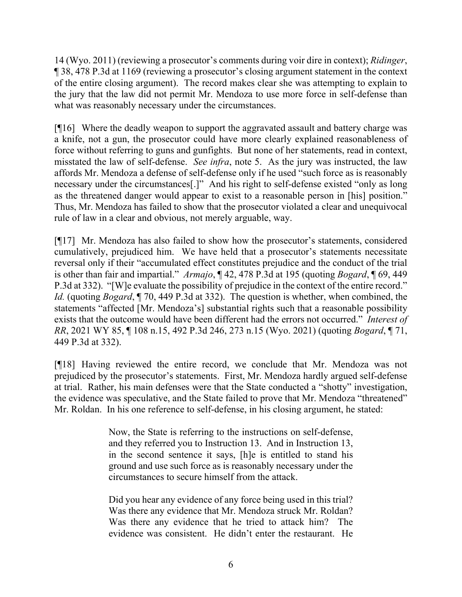14 (Wyo. 2011) (reviewing a prosecutor's comments during voir dire in context); *Ridinger*, ¶ 38, 478 P.3d at 1169 (reviewing a prosecutor's closing argument statement in the context of the entire closing argument). The record makes clear she was attempting to explain to the jury that the law did not permit Mr. Mendoza to use more force in self-defense than what was reasonably necessary under the circumstances.

[¶16] Where the deadly weapon to support the aggravated assault and battery charge was a knife, not a gun, the prosecutor could have more clearly explained reasonableness of force without referring to guns and gunfights. But none of her statements, read in context, misstated the law of self-defense. *See infra*, note 5. As the jury was instructed, the law affords Mr. Mendoza a defense of self-defense only if he used "such force as is reasonably necessary under the circumstances[.]" And his right to self-defense existed "only as long as the threatened danger would appear to exist to a reasonable person in [his] position." Thus, Mr. Mendoza has failed to show that the prosecutor violated a clear and unequivocal rule of law in a clear and obvious, not merely arguable, way.

[¶17] Mr. Mendoza has also failed to show how the prosecutor's statements, considered cumulatively, prejudiced him. We have held that a prosecutor's statements necessitate reversal only if their "accumulated effect constitutes prejudice and the conduct of the trial is other than fair and impartial." *Armajo*, ¶ 42, 478 P.3d at 195 (quoting *Bogard*, ¶ 69, 449 P.3d at 332). "[W]e evaluate the possibility of prejudice in the context of the entire record." *Id.* (quoting *Bogard*, ¶ 70, 449 P.3d at 332). The question is whether, when combined, the statements "affected [Mr. Mendoza's] substantial rights such that a reasonable possibility exists that the outcome would have been different had the errors not occurred." *Interest of RR*, 2021 WY 85, ¶ 108 n.15, 492 P.3d 246, 273 n.15 (Wyo. 2021) (quoting *Bogard*, ¶ 71, 449 P.3d at 332).

[¶18] Having reviewed the entire record, we conclude that Mr. Mendoza was not prejudiced by the prosecutor's statements. First, Mr. Mendoza hardly argued self-defense at trial. Rather, his main defenses were that the State conducted a "shotty" investigation, the evidence was speculative, and the State failed to prove that Mr. Mendoza "threatened" Mr. Roldan. In his one reference to self-defense, in his closing argument, he stated:

> Now, the State is referring to the instructions on self-defense, and they referred you to Instruction 13. And in Instruction 13, in the second sentence it says, [h]e is entitled to stand his ground and use such force as is reasonably necessary under the circumstances to secure himself from the attack.

> Did you hear any evidence of any force being used in this trial? Was there any evidence that Mr. Mendoza struck Mr. Roldan? Was there any evidence that he tried to attack him? The evidence was consistent. He didn't enter the restaurant. He